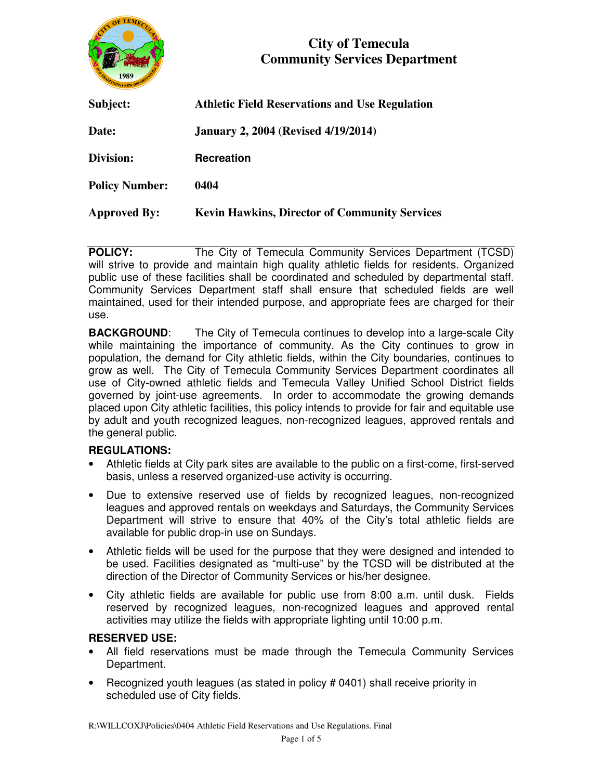

# **City of Temecula Community Services Department**

| Subject:              | <b>Athletic Field Reservations and Use Regulation</b> |
|-----------------------|-------------------------------------------------------|
| Date:                 | <b>January 2, 2004 (Revised 4/19/2014)</b>            |
| Division:             | <b>Recreation</b>                                     |
| <b>Policy Number:</b> | 0404                                                  |
| <b>Approved By:</b>   | <b>Kevin Hawkins, Director of Community Services</b>  |

**POLICY:** The City of Temecula Community Services Department (TCSD) will strive to provide and maintain high quality athletic fields for residents. Organized public use of these facilities shall be coordinated and scheduled by departmental staff. Community Services Department staff shall ensure that scheduled fields are well maintained, used for their intended purpose, and appropriate fees are charged for their use.

**BACKGROUND:** The City of Temecula continues to develop into a large-scale City while maintaining the importance of community. As the City continues to grow in population, the demand for City athletic fields, within the City boundaries, continues to grow as well. The City of Temecula Community Services Department coordinates all use of City-owned athletic fields and Temecula Valley Unified School District fields governed by joint-use agreements. In order to accommodate the growing demands placed upon City athletic facilities, this policy intends to provide for fair and equitable use by adult and youth recognized leagues, non-recognized leagues, approved rentals and the general public.

## **REGULATIONS:**

- Athletic fields at City park sites are available to the public on a first-come, first-served basis, unless a reserved organized-use activity is occurring.
- Due to extensive reserved use of fields by recognized leagues, non-recognized leagues and approved rentals on weekdays and Saturdays, the Community Services Department will strive to ensure that 40% of the City's total athletic fields are available for public drop-in use on Sundays.
- Athletic fields will be used for the purpose that they were designed and intended to be used. Facilities designated as "multi-use" by the TCSD will be distributed at the direction of the Director of Community Services or his/her designee.
- City athletic fields are available for public use from 8:00 a.m. until dusk. Fields reserved by recognized leagues, non-recognized leagues and approved rental activities may utilize the fields with appropriate lighting until 10:00 p.m.

## **RESERVED USE:**

- All field reservations must be made through the Temecula Community Services Department.
- Recognized youth leagues (as stated in policy # 0401) shall receive priority in scheduled use of City fields.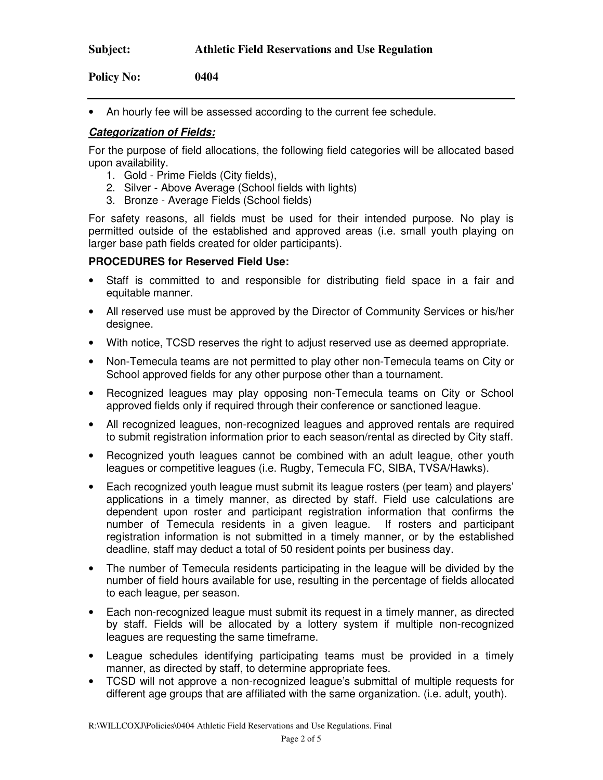• An hourly fee will be assessed according to the current fee schedule.

## **Categorization of Fields:**

For the purpose of field allocations, the following field categories will be allocated based upon availability.

- 1. Gold Prime Fields (City fields),
- 2. Silver Above Average (School fields with lights)
- 3. Bronze Average Fields (School fields)

For safety reasons, all fields must be used for their intended purpose. No play is permitted outside of the established and approved areas (i.e. small youth playing on larger base path fields created for older participants).

#### **PROCEDURES for Reserved Field Use:**

- Staff is committed to and responsible for distributing field space in a fair and equitable manner.
- All reserved use must be approved by the Director of Community Services or his/her designee.
- With notice, TCSD reserves the right to adjust reserved use as deemed appropriate.
- Non-Temecula teams are not permitted to play other non-Temecula teams on City or School approved fields for any other purpose other than a tournament.
- Recognized leagues may play opposing non-Temecula teams on City or School approved fields only if required through their conference or sanctioned league.
- All recognized leagues, non-recognized leagues and approved rentals are required to submit registration information prior to each season/rental as directed by City staff.
- Recognized youth leagues cannot be combined with an adult league, other youth leagues or competitive leagues (i.e. Rugby, Temecula FC, SIBA, TVSA/Hawks).
- Each recognized youth league must submit its league rosters (per team) and players' applications in a timely manner, as directed by staff. Field use calculations are dependent upon roster and participant registration information that confirms the number of Temecula residents in a given league. If rosters and participant registration information is not submitted in a timely manner, or by the established deadline, staff may deduct a total of 50 resident points per business day.
- The number of Temecula residents participating in the league will be divided by the number of field hours available for use, resulting in the percentage of fields allocated to each league, per season.
- Each non-recognized league must submit its request in a timely manner, as directed by staff. Fields will be allocated by a lottery system if multiple non-recognized leagues are requesting the same timeframe.
- League schedules identifying participating teams must be provided in a timely manner, as directed by staff, to determine appropriate fees.
- TCSD will not approve a non-recognized league's submittal of multiple requests for different age groups that are affiliated with the same organization. (i.e. adult, youth).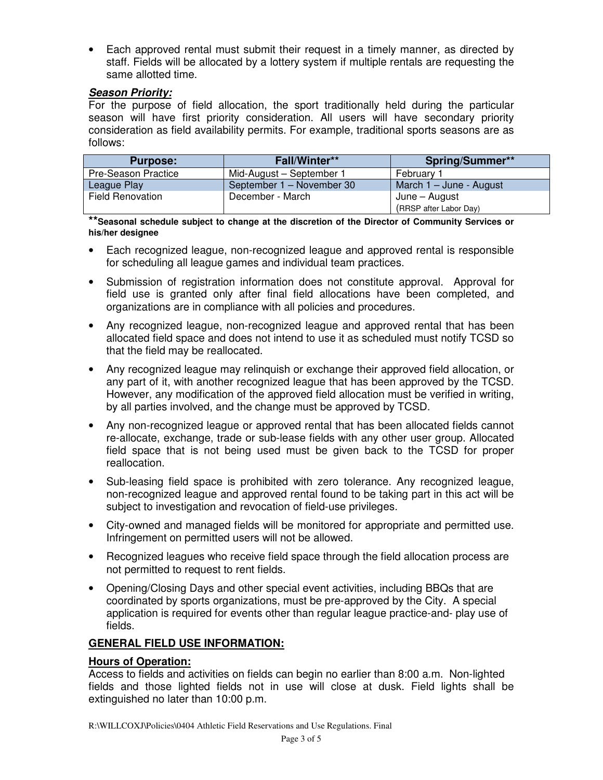• Each approved rental must submit their request in a timely manner, as directed by staff. Fields will be allocated by a lottery system if multiple rentals are requesting the same allotted time.

# **Season Priority:**

For the purpose of field allocation, the sport traditionally held during the particular season will have first priority consideration. All users will have secondary priority consideration as field availability permits. For example, traditional sports seasons are as follows:

| <b>Purpose:</b>            | Fall/Winter**             | <b>Spring/Summer**</b>    |
|----------------------------|---------------------------|---------------------------|
| <b>Pre-Season Practice</b> | Mid-August - September 1  | Februarv 1                |
| League Play                | September 1 - November 30 | March $1 -$ June - August |
| <b>Field Renovation</b>    | December - March          | June – August             |
|                            |                           | (RRSP after Labor Day)    |

**\*\*Seasonal schedule subject to change at the discretion of the Director of Community Services or his/her designee** 

- Each recognized league, non-recognized league and approved rental is responsible for scheduling all league games and individual team practices.
- Submission of registration information does not constitute approval. Approval for field use is granted only after final field allocations have been completed, and organizations are in compliance with all policies and procedures.
- Any recognized league, non-recognized league and approved rental that has been allocated field space and does not intend to use it as scheduled must notify TCSD so that the field may be reallocated.
- Any recognized league may relinquish or exchange their approved field allocation, or any part of it, with another recognized league that has been approved by the TCSD. However, any modification of the approved field allocation must be verified in writing, by all parties involved, and the change must be approved by TCSD.
- Any non-recognized league or approved rental that has been allocated fields cannot re-allocate, exchange, trade or sub-lease fields with any other user group. Allocated field space that is not being used must be given back to the TCSD for proper reallocation.
- Sub-leasing field space is prohibited with zero tolerance. Any recognized league, non-recognized league and approved rental found to be taking part in this act will be subject to investigation and revocation of field-use privileges.
- City-owned and managed fields will be monitored for appropriate and permitted use. Infringement on permitted users will not be allowed.
- Recognized leagues who receive field space through the field allocation process are not permitted to request to rent fields.
- Opening/Closing Days and other special event activities, including BBQs that are coordinated by sports organizations, must be pre-approved by the City. A special application is required for events other than regular league practice-and- play use of fields.

# **GENERAL FIELD USE INFORMATION:**

## **Hours of Operation:**

Access to fields and activities on fields can begin no earlier than 8:00 a.m. Non-lighted fields and those lighted fields not in use will close at dusk. Field lights shall be extinguished no later than 10:00 p.m.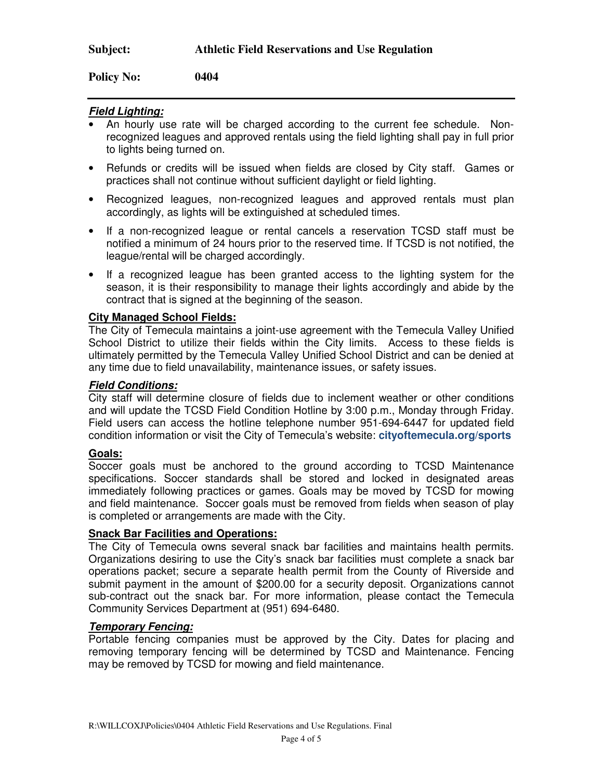**Policy No: 0404** 

## **Field Lighting:**

- An hourly use rate will be charged according to the current fee schedule. Nonrecognized leagues and approved rentals using the field lighting shall pay in full prior to lights being turned on.
- Refunds or credits will be issued when fields are closed by City staff. Games or practices shall not continue without sufficient daylight or field lighting.
- Recognized leagues, non-recognized leagues and approved rentals must plan accordingly, as lights will be extinguished at scheduled times.
- If a non-recognized league or rental cancels a reservation TCSD staff must be notified a minimum of 24 hours prior to the reserved time. If TCSD is not notified, the league/rental will be charged accordingly.
- If a recognized league has been granted access to the lighting system for the season, it is their responsibility to manage their lights accordingly and abide by the contract that is signed at the beginning of the season.

## **City Managed School Fields:**

The City of Temecula maintains a joint-use agreement with the Temecula Valley Unified School District to utilize their fields within the City limits. Access to these fields is ultimately permitted by the Temecula Valley Unified School District and can be denied at any time due to field unavailability, maintenance issues, or safety issues.

#### **Field Conditions:**

City staff will determine closure of fields due to inclement weather or other conditions and will update the TCSD Field Condition Hotline by 3:00 p.m., Monday through Friday. Field users can access the hotline telephone number 951-694-6447 for updated field condition information or visit the City of Temecula's website: **cityoftemecula.org/sports** 

## **Goals:**

Soccer goals must be anchored to the ground according to TCSD Maintenance specifications. Soccer standards shall be stored and locked in designated areas immediately following practices or games. Goals may be moved by TCSD for mowing and field maintenance. Soccer goals must be removed from fields when season of play is completed or arrangements are made with the City.

## **Snack Bar Facilities and Operations:**

The City of Temecula owns several snack bar facilities and maintains health permits. Organizations desiring to use the City's snack bar facilities must complete a snack bar operations packet; secure a separate health permit from the County of Riverside and submit payment in the amount of \$200.00 for a security deposit. Organizations cannot sub-contract out the snack bar. For more information, please contact the Temecula Community Services Department at (951) 694-6480.

## **Temporary Fencing:**

Portable fencing companies must be approved by the City. Dates for placing and removing temporary fencing will be determined by TCSD and Maintenance. Fencing may be removed by TCSD for mowing and field maintenance.